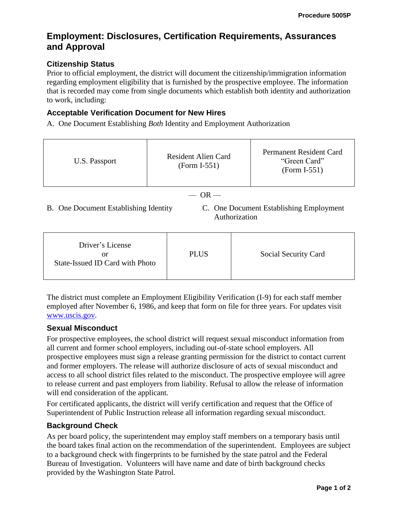# **Employment: Disclosures, Certification Requirements, Assurances and Approval**

### **Citizenship Status**

Prior to official employment, the district will document the citizenship/immigration information regarding employment eligibility that is furnished by the prospective employee. The information that is recorded may come from single documents which establish both identity and authorization to work, including:

### **Acceptable Verification Document for New Hires**

A. One Document Establishing *Both* Identity and Employment Authorization

| U.S. Passport                         | Resident Alien Card<br>$(Form I-551)$ | Permanent Resident Card<br>"Green Card"<br>$(Form I-551)$ |  |
|---------------------------------------|---------------------------------------|-----------------------------------------------------------|--|
| $-$ OR $-$                            |                                       |                                                           |  |
| B. One Document Establishing Identity |                                       | C. One Document Establishing Employment<br>Authorization  |  |

| Driver's License<br>or<br>State-Issued ID Card with Photo | <b>PLUS</b> | Social Security Card |
|-----------------------------------------------------------|-------------|----------------------|
|-----------------------------------------------------------|-------------|----------------------|

The district must complete an Employment Eligibility Verification (I-9) for each staff member employed after November 6, 1986, and keep that form on file for three years. For updates visit [www.uscis.gov.](http://www.uscis.gov/)

#### **Sexual Misconduct**

For prospective employees, the school district will request sexual misconduct information from all current and former school employers, including out-of-state school employers. All prospective employees must sign a release granting permission for the district to contact current and former employers. The release will authorize disclosure of acts of sexual misconduct and access to all school district files related to the misconduct. The prospective employee will agree to release current and past employers from liability. Refusal to allow the release of information will end consideration of the applicant.

For certificated applicants, the district will verify certification and request that the Office of Superintendent of Public Instruction release all information regarding sexual misconduct.

## **Background Check**

As per board policy, the superintendent may employ staff members on a temporary basis until the board takes final action on the recommendation of the superintendent. Employees are subject to a background check with fingerprints to be furnished by the state patrol and the Federal Bureau of Investigation. Volunteers will have name and date of birth background checks provided by the Washington State Patrol.